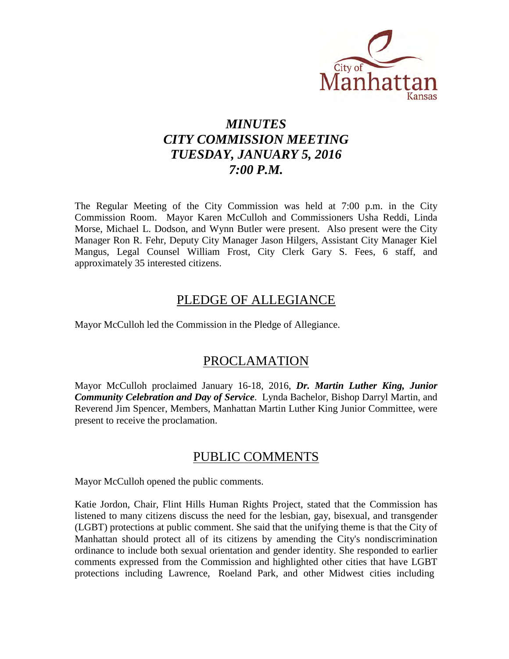

# *MINUTES CITY COMMISSION MEETING TUESDAY, JANUARY 5, 2016 7:00 P.M.*

The Regular Meeting of the City Commission was held at 7:00 p.m. in the City Commission Room. Mayor Karen McCulloh and Commissioners Usha Reddi, Linda Morse, Michael L. Dodson, and Wynn Butler were present. Also present were the City Manager Ron R. Fehr, Deputy City Manager Jason Hilgers, Assistant City Manager Kiel Mangus, Legal Counsel William Frost, City Clerk Gary S. Fees, 6 staff, and approximately 35 interested citizens.

# PLEDGE OF ALLEGIANCE

Mayor McCulloh led the Commission in the Pledge of Allegiance.

# PROCLAMATION

Mayor McCulloh proclaimed January 16-18, 2016, *Dr. Martin Luther King, Junior Community Celebration and Day of Service*. Lynda Bachelor, Bishop Darryl Martin, and Reverend Jim Spencer, Members, Manhattan Martin Luther King Junior Committee, were present to receive the proclamation.

# PUBLIC COMMENTS

Mayor McCulloh opened the public comments.

Katie Jordon, Chair, Flint Hills Human Rights Project, stated that the Commission has listened to many citizens discuss the need for the lesbian, gay, bisexual, and transgender (LGBT) protections at public comment. She said that the unifying theme is that the City of Manhattan should protect all of its citizens by amending the City's nondiscrimination ordinance to include both sexual orientation and gender identity. She responded to earlier comments expressed from the Commission and highlighted other cities that have LGBT protections including Lawrence, Roeland Park, and other Midwest cities including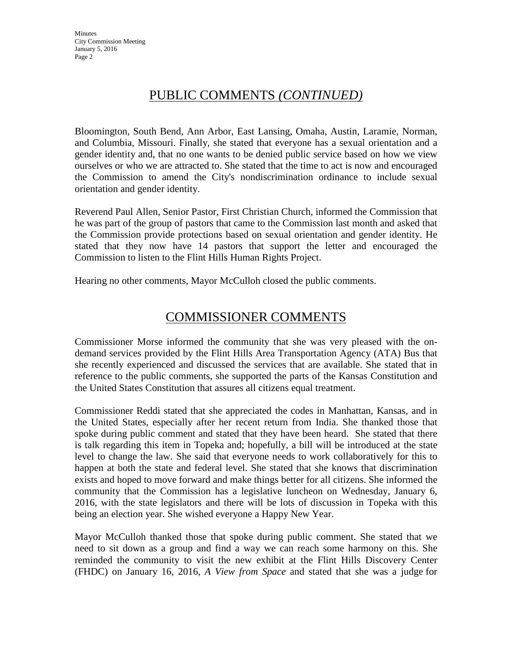# PUBLIC COMMENTS *(CONTINUED)*

Bloomington, South Bend, Ann Arbor, East Lansing, Omaha, Austin, Laramie, Norman, and Columbia, Missouri. Finally, she stated that everyone has a sexual orientation and a gender identity and, that no one wants to be denied public service based on how we view ourselves or who we are attracted to. She stated that the time to act is now and encouraged the Commission to amend the City's nondiscrimination ordinance to include sexual orientation and gender identity.

Reverend Paul Allen, Senior Pastor, First Christian Church, informed the Commission that he was part of the group of pastors that came to the Commission last month and asked that the Commission provide protections based on sexual orientation and gender identity. He stated that they now have 14 pastors that support the letter and encouraged the Commission to listen to the Flint Hills Human Rights Project.

Hearing no other comments, Mayor McCulloh closed the public comments.

# COMMISSIONER COMMENTS

Commissioner Morse informed the community that she was very pleased with the ondemand services provided by the Flint Hills Area Transportation Agency (ATA) Bus that she recently experienced and discussed the services that are available. She stated that in reference to the public comments, she supported the parts of the Kansas Constitution and the United States Constitution that assures all citizens equal treatment.

Commissioner Reddi stated that she appreciated the codes in Manhattan, Kansas, and in the United States, especially after her recent return from India. She thanked those that spoke during public comment and stated that they have been heard. She stated that there is talk regarding this item in Topeka and; hopefully, a bill will be introduced at the state level to change the law. She said that everyone needs to work collaboratively for this to happen at both the state and federal level. She stated that she knows that discrimination exists and hoped to move forward and make things better for all citizens. She informed the community that the Commission has a legislative luncheon on Wednesday, January 6, 2016, with the state legislators and there will be lots of discussion in Topeka with this being an election year. She wished everyone a Happy New Year.

Mayor McCulloh thanked those that spoke during public comment. She stated that we need to sit down as a group and find a way we can reach some harmony on this. She reminded the community to visit the new exhibit at the Flint Hills Discovery Center (FHDC) on January 16, 2016, *A View from Space* and stated that she was a judge for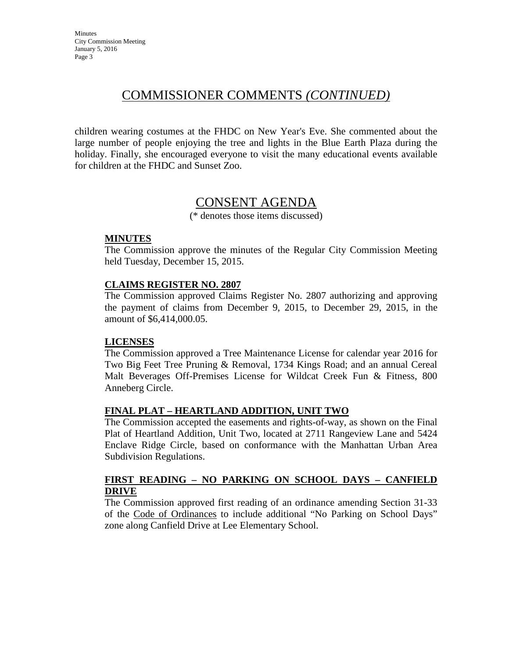# COMMISSIONER COMMENTS *(CONTINUED)*

children wearing costumes at the FHDC on New Year's Eve. She commented about the large number of people enjoying the tree and lights in the Blue Earth Plaza during the holiday. Finally, she encouraged everyone to visit the many educational events available for children at the FHDC and Sunset Zoo.

# CONSENT AGENDA

(\* denotes those items discussed)

#### **MINUTES**

The Commission approve the minutes of the Regular City Commission Meeting held Tuesday, December 15, 2015.

#### **CLAIMS REGISTER NO. 2807**

The Commission approved Claims Register No. 2807 authorizing and approving the payment of claims from December 9, 2015, to December 29, 2015, in the amount of \$6,414,000.05.

#### **LICENSES**

The Commission approved a Tree Maintenance License for calendar year 2016 for Two Big Feet Tree Pruning & Removal, 1734 Kings Road; and an annual Cereal Malt Beverages Off-Premises License for Wildcat Creek Fun & Fitness, 800 Anneberg Circle.

#### **FINAL PLAT – HEARTLAND ADDITION, UNIT TWO**

The Commission accepted the easements and rights-of-way, as shown on the Final Plat of Heartland Addition, Unit Two, located at 2711 Rangeview Lane and 5424 Enclave Ridge Circle, based on conformance with the Manhattan Urban Area Subdivision Regulations.

#### **FIRST READING – NO PARKING ON SCHOOL DAYS – CANFIELD DRIVE**

The Commission approved first reading of an ordinance amending Section 31-33 of the Code of Ordinances to include additional "No Parking on School Days" zone along Canfield Drive at Lee Elementary School.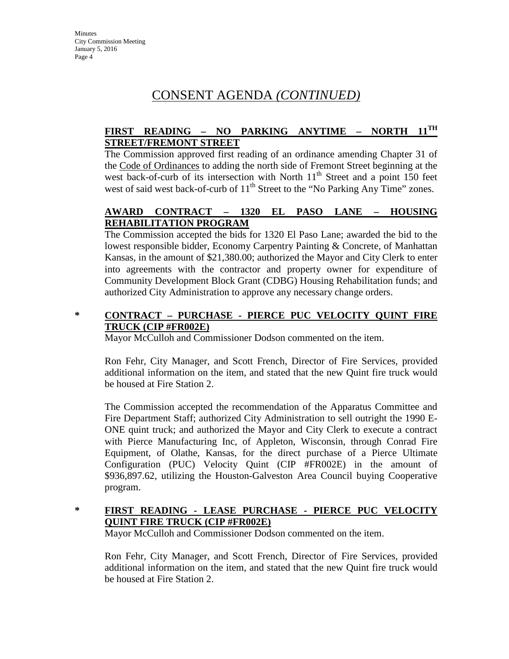# CONSENT AGENDA *(CONTINUED)*

## **FIRST READING – NO PARKING ANYTIME – NORTH 11TH STREET/FREMONT STREET**

The Commission approved first reading of an ordinance amending Chapter 31 of the Code of Ordinances to adding the north side of Fremont Street beginning at the west back-of-curb of its intersection with North  $11<sup>th</sup>$  Street and a point 150 feet west of said west back-of-curb of 11<sup>th</sup> Street to the "No Parking Any Time" zones.

## **AWARD CONTRACT – 1320 EL PASO LANE – HOUSING REHABILITATION PROGRAM**

The Commission accepted the bids for 1320 El Paso Lane; awarded the bid to the lowest responsible bidder, Economy Carpentry Painting & Concrete, of Manhattan Kansas, in the amount of \$21,380.00; authorized the Mayor and City Clerk to enter into agreements with the contractor and property owner for expenditure of Community Development Block Grant (CDBG) Housing Rehabilitation funds; and authorized City Administration to approve any necessary change orders.

#### **\* CONTRACT – PURCHASE - PIERCE PUC VELOCITY QUINT FIRE TRUCK (CIP #FR002E)**

Mayor McCulloh and Commissioner Dodson commented on the item.

Ron Fehr, City Manager, and Scott French, Director of Fire Services, provided additional information on the item, and stated that the new Quint fire truck would be housed at Fire Station 2.

The Commission accepted the recommendation of the Apparatus Committee and Fire Department Staff; authorized City Administration to sell outright the 1990 E-ONE quint truck; and authorized the Mayor and City Clerk to execute a contract with Pierce Manufacturing Inc, of Appleton, Wisconsin, through Conrad Fire Equipment, of Olathe, Kansas, for the direct purchase of a Pierce Ultimate Configuration (PUC) Velocity Quint (CIP #FR002E) in the amount of \$936,897.62, utilizing the Houston-Galveston Area Council buying Cooperative program.

#### **\* FIRST READING - LEASE PURCHASE - PIERCE PUC VELOCITY QUINT FIRE TRUCK (CIP #FR002E)**

Mayor McCulloh and Commissioner Dodson commented on the item.

Ron Fehr, City Manager, and Scott French, Director of Fire Services, provided additional information on the item, and stated that the new Quint fire truck would be housed at Fire Station 2.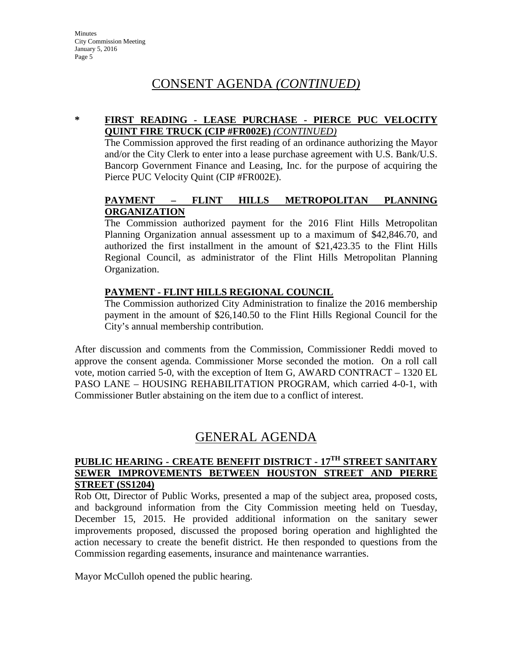# CONSENT AGENDA *(CONTINUED)*

#### **\* FIRST READING - LEASE PURCHASE - PIERCE PUC VELOCITY QUINT FIRE TRUCK (CIP #FR002E)** *(CONTINUED)*

The Commission approved the first reading of an ordinance authorizing the Mayor and/or the City Clerk to enter into a lease purchase agreement with U.S. Bank/U.S. Bancorp Government Finance and Leasing, Inc. for the purpose of acquiring the Pierce PUC Velocity Quint (CIP #FR002E).

## **PAYMENT – FLINT HILLS METROPOLITAN PLANNING ORGANIZATION**

The Commission authorized payment for the 2016 Flint Hills Metropolitan Planning Organization annual assessment up to a maximum of \$42,846.70, and authorized the first installment in the amount of \$21,423.35 to the Flint Hills Regional Council, as administrator of the Flint Hills Metropolitan Planning Organization.

## **PAYMENT - FLINT HILLS REGIONAL COUNCIL**

The Commission authorized City Administration to finalize the 2016 membership payment in the amount of \$26,140.50 to the Flint Hills Regional Council for the City's annual membership contribution.

After discussion and comments from the Commission, Commissioner Reddi moved to approve the consent agenda. Commissioner Morse seconded the motion. On a roll call vote, motion carried 5-0, with the exception of Item G, AWARD CONTRACT – 1320 EL PASO LANE – HOUSING REHABILITATION PROGRAM, which carried 4-0-1, with Commissioner Butler abstaining on the item due to a conflict of interest.

# GENERAL AGENDA

#### **PUBLIC HEARING - CREATE BENEFIT DISTRICT - 17TH STREET SANITARY SEWER IMPROVEMENTS BETWEEN HOUSTON STREET AND PIERRE STREET (SS1204)**

Rob Ott, Director of Public Works, presented a map of the subject area, proposed costs, and background information from the City Commission meeting held on Tuesday, December 15, 2015. He provided additional information on the sanitary sewer improvements proposed, discussed the proposed boring operation and highlighted the action necessary to create the benefit district. He then responded to questions from the Commission regarding easements, insurance and maintenance warranties.

Mayor McCulloh opened the public hearing.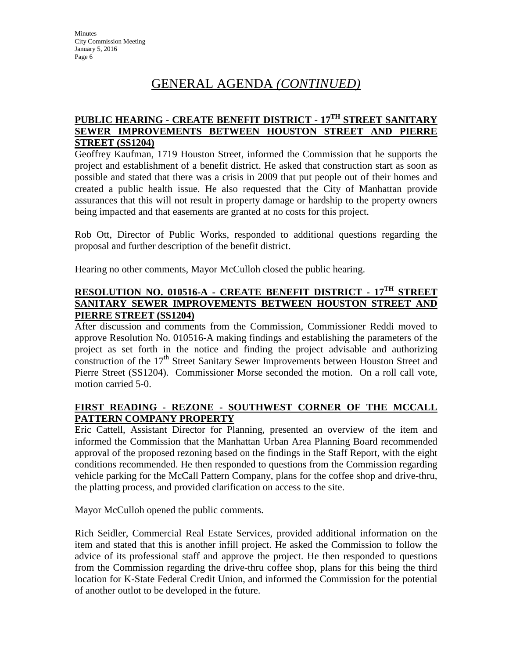#### **PUBLIC HEARING - CREATE BENEFIT DISTRICT - 17TH STREET SANITARY SEWER IMPROVEMENTS BETWEEN HOUSTON STREET AND PIERRE STREET (SS1204)**

Geoffrey Kaufman, 1719 Houston Street, informed the Commission that he supports the project and establishment of a benefit district. He asked that construction start as soon as possible and stated that there was a crisis in 2009 that put people out of their homes and created a public health issue. He also requested that the City of Manhattan provide assurances that this will not result in property damage or hardship to the property owners being impacted and that easements are granted at no costs for this project.

Rob Ott, Director of Public Works, responded to additional questions regarding the proposal and further description of the benefit district.

Hearing no other comments, Mayor McCulloh closed the public hearing.

#### **RESOLUTION NO. 010516-A - CREATE BENEFIT DISTRICT - 17TH STREET SANITARY SEWER IMPROVEMENTS BETWEEN HOUSTON STREET AND PIERRE STREET (SS1204)**

After discussion and comments from the Commission, Commissioner Reddi moved to approve Resolution No. 010516-A making findings and establishing the parameters of the project as set forth in the notice and finding the project advisable and authorizing construction of the 17<sup>th</sup> Street Sanitary Sewer Improvements between Houston Street and Pierre Street (SS1204). Commissioner Morse seconded the motion. On a roll call vote, motion carried 5-0.

## **FIRST READING - REZONE - SOUTHWEST CORNER OF THE MCCALL PATTERN COMPANY PROPERTY**

Eric Cattell, Assistant Director for Planning, presented an overview of the item and informed the Commission that the Manhattan Urban Area Planning Board recommended approval of the proposed rezoning based on the findings in the Staff Report, with the eight conditions recommended. He then responded to questions from the Commission regarding vehicle parking for the McCall Pattern Company, plans for the coffee shop and drive-thru, the platting process, and provided clarification on access to the site.

Mayor McCulloh opened the public comments.

Rich Seidler, Commercial Real Estate Services, provided additional information on the item and stated that this is another infill project. He asked the Commission to follow the advice of its professional staff and approve the project. He then responded to questions from the Commission regarding the drive-thru coffee shop, plans for this being the third location for K-State Federal Credit Union, and informed the Commission for the potential of another outlot to be developed in the future.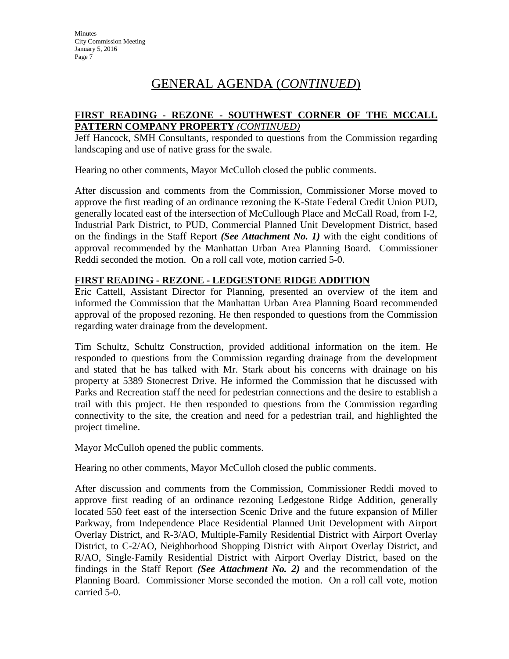#### **FIRST READING - REZONE - SOUTHWEST CORNER OF THE MCCALL PATTERN COMPANY PROPERTY** *(CONTINUED)*

Jeff Hancock, SMH Consultants, responded to questions from the Commission regarding landscaping and use of native grass for the swale.

Hearing no other comments, Mayor McCulloh closed the public comments.

After discussion and comments from the Commission, Commissioner Morse moved to approve the first reading of an ordinance rezoning the K-State Federal Credit Union PUD, generally located east of the intersection of McCullough Place and McCall Road, from I-2, Industrial Park District, to PUD, Commercial Planned Unit Development District, based on the findings in the Staff Report *(See Attachment No. 1)* with the eight conditions of approval recommended by the Manhattan Urban Area Planning Board. Commissioner Reddi seconded the motion. On a roll call vote, motion carried 5-0.

#### **FIRST READING - REZONE - LEDGESTONE RIDGE ADDITION**

Eric Cattell, Assistant Director for Planning, presented an overview of the item and informed the Commission that the Manhattan Urban Area Planning Board recommended approval of the proposed rezoning. He then responded to questions from the Commission regarding water drainage from the development.

Tim Schultz, Schultz Construction, provided additional information on the item. He responded to questions from the Commission regarding drainage from the development and stated that he has talked with Mr. Stark about his concerns with drainage on his property at 5389 Stonecrest Drive. He informed the Commission that he discussed with Parks and Recreation staff the need for pedestrian connections and the desire to establish a trail with this project. He then responded to questions from the Commission regarding connectivity to the site, the creation and need for a pedestrian trail, and highlighted the project timeline.

Mayor McCulloh opened the public comments.

Hearing no other comments, Mayor McCulloh closed the public comments.

After discussion and comments from the Commission, Commissioner Reddi moved to approve first reading of an ordinance rezoning Ledgestone Ridge Addition, generally located 550 feet east of the intersection Scenic Drive and the future expansion of Miller Parkway, from Independence Place Residential Planned Unit Development with Airport Overlay District, and R-3/AO, Multiple-Family Residential District with Airport Overlay District, to C-2/AO, Neighborhood Shopping District with Airport Overlay District, and R/AO, Single-Family Residential District with Airport Overlay District, based on the findings in the Staff Report *(See Attachment No. 2)* and the recommendation of the Planning Board. Commissioner Morse seconded the motion. On a roll call vote, motion carried 5-0.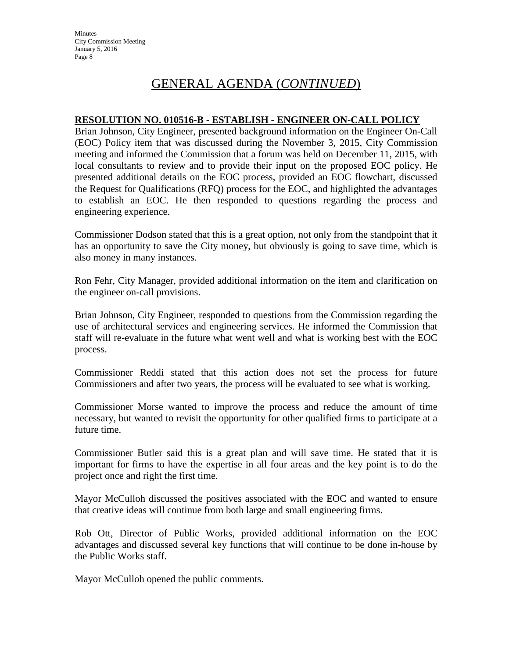#### **RESOLUTION NO. 010516-B - ESTABLISH - ENGINEER ON-CALL POLICY**

Brian Johnson, City Engineer, presented background information on the Engineer On-Call (EOC) Policy item that was discussed during the November 3, 2015, City Commission meeting and informed the Commission that a forum was held on December 11, 2015, with local consultants to review and to provide their input on the proposed EOC policy. He presented additional details on the EOC process, provided an EOC flowchart, discussed the Request for Qualifications (RFQ) process for the EOC, and highlighted the advantages to establish an EOC. He then responded to questions regarding the process and engineering experience.

Commissioner Dodson stated that this is a great option, not only from the standpoint that it has an opportunity to save the City money, but obviously is going to save time, which is also money in many instances.

Ron Fehr, City Manager, provided additional information on the item and clarification on the engineer on-call provisions.

Brian Johnson, City Engineer, responded to questions from the Commission regarding the use of architectural services and engineering services. He informed the Commission that staff will re-evaluate in the future what went well and what is working best with the EOC process.

Commissioner Reddi stated that this action does not set the process for future Commissioners and after two years, the process will be evaluated to see what is working.

Commissioner Morse wanted to improve the process and reduce the amount of time necessary, but wanted to revisit the opportunity for other qualified firms to participate at a future time.

Commissioner Butler said this is a great plan and will save time. He stated that it is important for firms to have the expertise in all four areas and the key point is to do the project once and right the first time.

Mayor McCulloh discussed the positives associated with the EOC and wanted to ensure that creative ideas will continue from both large and small engineering firms.

Rob Ott, Director of Public Works, provided additional information on the EOC advantages and discussed several key functions that will continue to be done in-house by the Public Works staff.

Mayor McCulloh opened the public comments.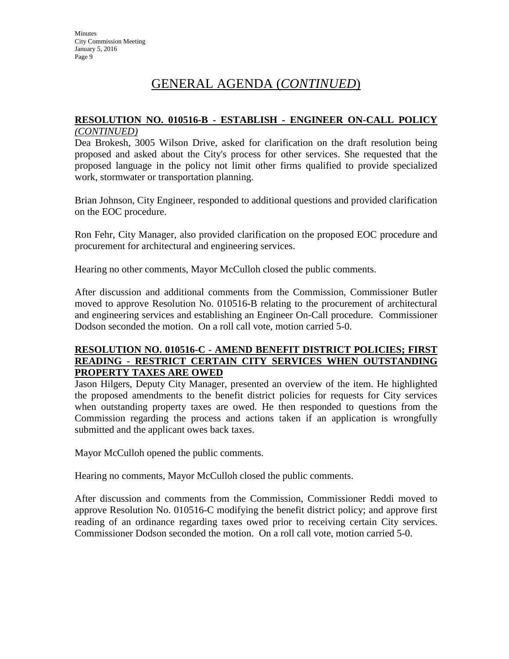#### **RESOLUTION NO. 010516-B - ESTABLISH - ENGINEER ON-CALL POLICY** *(CONTINUED)*

Dea Brokesh, 3005 Wilson Drive, asked for clarification on the draft resolution being proposed and asked about the City's process for other services. She requested that the proposed language in the policy not limit other firms qualified to provide specialized work, stormwater or transportation planning.

Brian Johnson, City Engineer, responded to additional questions and provided clarification on the EOC procedure.

Ron Fehr, City Manager, also provided clarification on the proposed EOC procedure and procurement for architectural and engineering services.

Hearing no other comments, Mayor McCulloh closed the public comments.

After discussion and additional comments from the Commission, Commissioner Butler moved to approve Resolution No. 010516-B relating to the procurement of architectural and engineering services and establishing an Engineer On-Call procedure. Commissioner Dodson seconded the motion. On a roll call vote, motion carried 5-0.

#### **RESOLUTION NO. 010516-C - AMEND BENEFIT DISTRICT POLICIES; FIRST READING - RESTRICT CERTAIN CITY SERVICES WHEN OUTSTANDING PROPERTY TAXES ARE OWED**

Jason Hilgers, Deputy City Manager, presented an overview of the item. He highlighted the proposed amendments to the benefit district policies for requests for City services when outstanding property taxes are owed. He then responded to questions from the Commission regarding the process and actions taken if an application is wrongfully submitted and the applicant owes back taxes.

Mayor McCulloh opened the public comments.

Hearing no comments, Mayor McCulloh closed the public comments.

After discussion and comments from the Commission, Commissioner Reddi moved to approve Resolution No. 010516-C modifying the benefit district policy; and approve first reading of an ordinance regarding taxes owed prior to receiving certain City services. Commissioner Dodson seconded the motion. On a roll call vote, motion carried 5-0.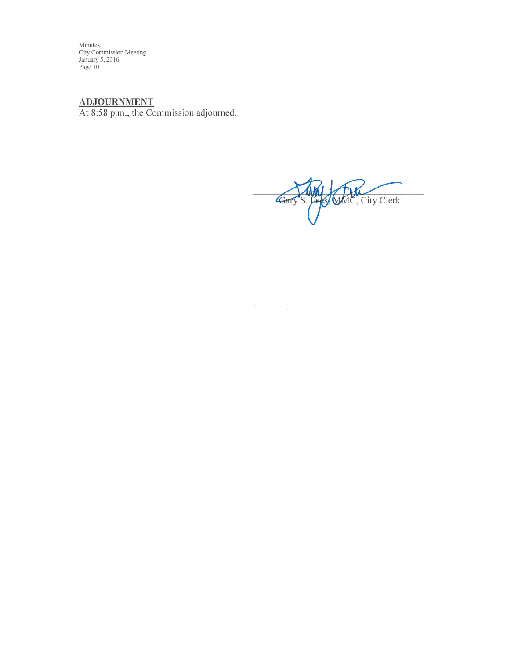Minutes<br>City Commission Meeting<br>January 5, 2016<br>Page 10

ADJOURNMENT<br>At 8:58 p.m., the Commission adjourned.

S. Ferst MAC, City Clerk Gary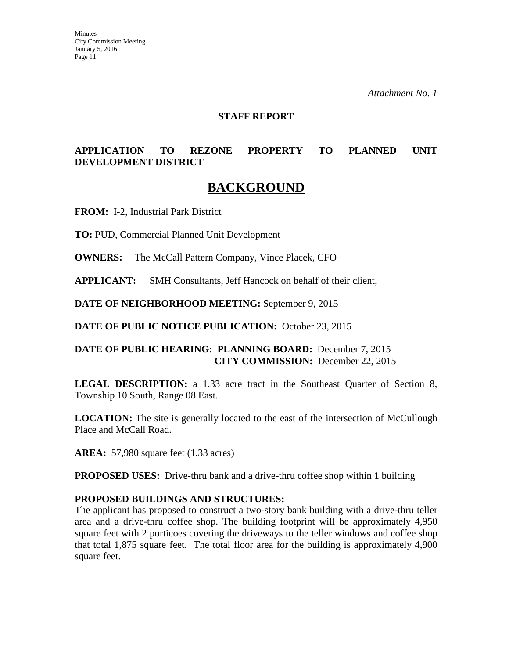**Minutes** City Commission Meeting January 5, 2016 Page 11

*Attachment No. 1*

#### **STAFF REPORT**

## **APPLICATION TO REZONE PROPERTY TO PLANNED UNIT DEVELOPMENT DISTRICT**

# **BACKGROUND**

**FROM:** I-2, Industrial Park District

**TO:** PUD, Commercial Planned Unit Development

**OWNERS:** The McCall Pattern Company, Vince Placek, CFO

**APPLICANT:** SMH Consultants, Jeff Hancock on behalf of their client,

**DATE OF NEIGHBORHOOD MEETING:** September 9, 2015

**DATE OF PUBLIC NOTICE PUBLICATION:** October 23, 2015

#### **DATE OF PUBLIC HEARING: PLANNING BOARD:** December 7, 2015 **CITY COMMISSION:** December 22, 2015

**LEGAL DESCRIPTION:** a 1.33 acre tract in the Southeast Quarter of Section 8, Township 10 South, Range 08 East.

**LOCATION:** The site is generally located to the east of the intersection of McCullough Place and McCall Road.

**AREA:** 57,980 square feet (1.33 acres)

**PROPOSED USES:** Drive-thru bank and a drive-thru coffee shop within 1 building

#### **PROPOSED BUILDINGS AND STRUCTURES:**

The applicant has proposed to construct a two-story bank building with a drive-thru teller area and a drive-thru coffee shop. The building footprint will be approximately 4,950 square feet with 2 porticoes covering the driveways to the teller windows and coffee shop that total 1,875 square feet. The total floor area for the building is approximately 4,900 square feet.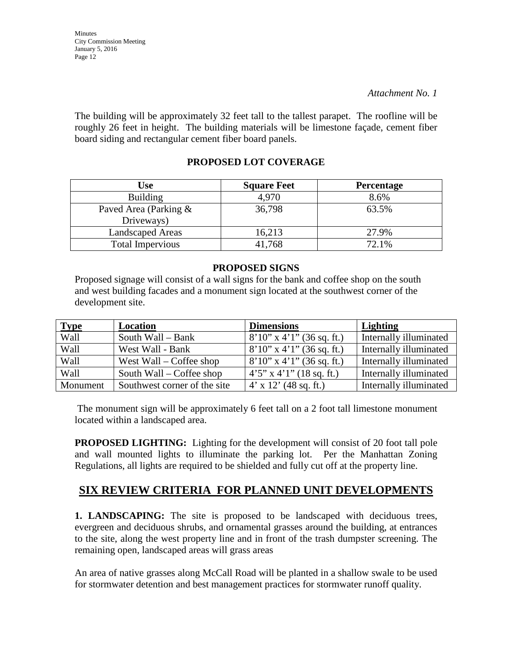The building will be approximately 32 feet tall to the tallest parapet. The roofline will be roughly 26 feet in height. The building materials will be limestone façade, cement fiber board siding and rectangular cement fiber board panels.

# **PROPOSED LOT COVERAGE**

| Use                                 | <b>Square Feet</b> | <b>Percentage</b> |
|-------------------------------------|--------------------|-------------------|
| <b>Building</b>                     | 4,970              | 8.6%              |
| Paved Area (Parking &<br>Driveways) | 36,798             | 63.5%             |
| <b>Landscaped Areas</b>             | 16,213             | 27.9%             |
| <b>Total Impervious</b>             | 41.768             | 72.1%             |

#### **PROPOSED SIGNS**

Proposed signage will consist of a wall signs for the bank and coffee shop on the south and west building facades and a monument sign located at the southwest corner of the development site.

| <b>Type</b> | Location                     | <b>Dimensions</b>              | Lighting               |
|-------------|------------------------------|--------------------------------|------------------------|
| Wall        | South Wall - Bank            | $8'10''$ x 4'1" (36 sq. ft.)   | Internally illuminated |
| Wall        | West Wall - Bank             | $8'10''$ x 4'1" (36 sq. ft.)   | Internally illuminated |
| Wall        | West Wall – Coffee shop      | $8'10''$ x 4'1" (36 sq. ft.)   | Internally illuminated |
| Wall        | South Wall – Coffee shop     | $4'5''$ x $4'1''$ (18 sq. ft.) | Internally illuminated |
| Monument    | Southwest corner of the site | $4'$ x 12' (48 sq. ft.)        | Internally illuminated |

The monument sign will be approximately 6 feet tall on a 2 foot tall limestone monument located within a landscaped area.

**PROPOSED LIGHTING:** Lighting for the development will consist of 20 foot tall pole and wall mounted lights to illuminate the parking lot. Per the Manhattan Zoning Regulations, all lights are required to be shielded and fully cut off at the property line.

# **SIX REVIEW CRITERIA FOR PLANNED UNIT DEVELOPMENTS**

**1. LANDSCAPING:** The site is proposed to be landscaped with deciduous trees, evergreen and deciduous shrubs, and ornamental grasses around the building, at entrances to the site, along the west property line and in front of the trash dumpster screening. The remaining open, landscaped areas will grass areas

An area of native grasses along McCall Road will be planted in a shallow swale to be used for stormwater detention and best management practices for stormwater runoff quality.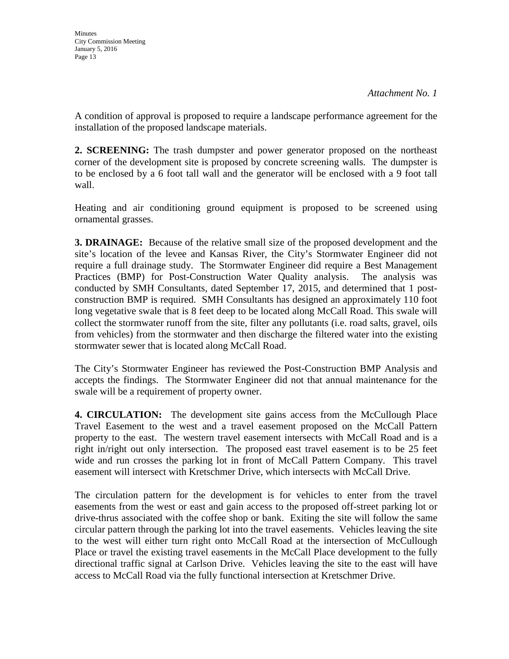A condition of approval is proposed to require a landscape performance agreement for the installation of the proposed landscape materials.

**2. SCREENING:** The trash dumpster and power generator proposed on the northeast corner of the development site is proposed by concrete screening walls. The dumpster is to be enclosed by a 6 foot tall wall and the generator will be enclosed with a 9 foot tall wall.

Heating and air conditioning ground equipment is proposed to be screened using ornamental grasses.

**3. DRAINAGE:** Because of the relative small size of the proposed development and the site's location of the levee and Kansas River, the City's Stormwater Engineer did not require a full drainage study. The Stormwater Engineer did require a Best Management Practices (BMP) for Post-Construction Water Quality analysis. The analysis was conducted by SMH Consultants, dated September 17, 2015, and determined that 1 postconstruction BMP is required. SMH Consultants has designed an approximately 110 foot long vegetative swale that is 8 feet deep to be located along McCall Road. This swale will collect the stormwater runoff from the site, filter any pollutants (i.e. road salts, gravel, oils from vehicles) from the stormwater and then discharge the filtered water into the existing stormwater sewer that is located along McCall Road.

The City's Stormwater Engineer has reviewed the Post-Construction BMP Analysis and accepts the findings. The Stormwater Engineer did not that annual maintenance for the swale will be a requirement of property owner.

**4. CIRCULATION:** The development site gains access from the McCullough Place Travel Easement to the west and a travel easement proposed on the McCall Pattern property to the east. The western travel easement intersects with McCall Road and is a right in/right out only intersection. The proposed east travel easement is to be 25 feet wide and run crosses the parking lot in front of McCall Pattern Company. This travel easement will intersect with Kretschmer Drive, which intersects with McCall Drive.

The circulation pattern for the development is for vehicles to enter from the travel easements from the west or east and gain access to the proposed off-street parking lot or drive-thrus associated with the coffee shop or bank. Exiting the site will follow the same circular pattern through the parking lot into the travel easements. Vehicles leaving the site to the west will either turn right onto McCall Road at the intersection of McCullough Place or travel the existing travel easements in the McCall Place development to the fully directional traffic signal at Carlson Drive. Vehicles leaving the site to the east will have access to McCall Road via the fully functional intersection at Kretschmer Drive.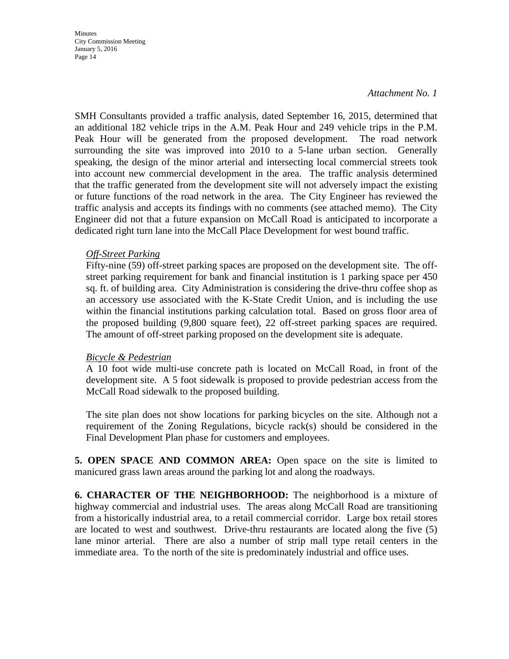**Minutes** City Commission Meeting January 5, 2016 Page 14

#### *Attachment No. 1*

SMH Consultants provided a traffic analysis, dated September 16, 2015, determined that an additional 182 vehicle trips in the A.M. Peak Hour and 249 vehicle trips in the P.M. Peak Hour will be generated from the proposed development. The road network surrounding the site was improved into 2010 to a 5-lane urban section. Generally speaking, the design of the minor arterial and intersecting local commercial streets took into account new commercial development in the area. The traffic analysis determined that the traffic generated from the development site will not adversely impact the existing or future functions of the road network in the area. The City Engineer has reviewed the traffic analysis and accepts its findings with no comments (see attached memo). The City Engineer did not that a future expansion on McCall Road is anticipated to incorporate a dedicated right turn lane into the McCall Place Development for west bound traffic.

#### *Off-Street Parking*

Fifty-nine (59) off-street parking spaces are proposed on the development site. The offstreet parking requirement for bank and financial institution is 1 parking space per 450 sq. ft. of building area. City Administration is considering the drive-thru coffee shop as an accessory use associated with the K-State Credit Union, and is including the use within the financial institutions parking calculation total. Based on gross floor area of the proposed building (9,800 square feet), 22 off-street parking spaces are required. The amount of off-street parking proposed on the development site is adequate.

#### *Bicycle & Pedestrian*

A 10 foot wide multi-use concrete path is located on McCall Road, in front of the development site. A 5 foot sidewalk is proposed to provide pedestrian access from the McCall Road sidewalk to the proposed building.

The site plan does not show locations for parking bicycles on the site. Although not a requirement of the Zoning Regulations, bicycle rack(s) should be considered in the Final Development Plan phase for customers and employees.

**5. OPEN SPACE AND COMMON AREA:** Open space on the site is limited to manicured grass lawn areas around the parking lot and along the roadways.

**6. CHARACTER OF THE NEIGHBORHOOD:** The neighborhood is a mixture of highway commercial and industrial uses. The areas along McCall Road are transitioning from a historically industrial area, to a retail commercial corridor. Large box retail stores are located to west and southwest. Drive-thru restaurants are located along the five (5) lane minor arterial. There are also a number of strip mall type retail centers in the immediate area. To the north of the site is predominately industrial and office uses.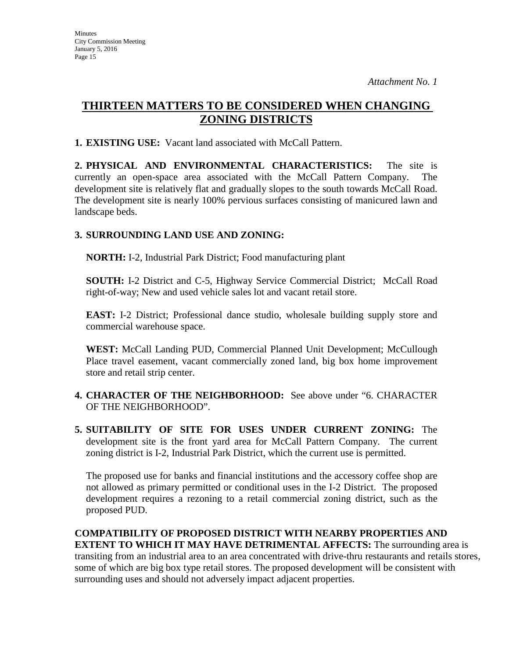# **THIRTEEN MATTERS TO BE CONSIDERED WHEN CHANGING ZONING DISTRICTS**

**1. EXISTING USE:** Vacant land associated with McCall Pattern.

**2. PHYSICAL AND ENVIRONMENTAL CHARACTERISTICS:** The site is currently an open-space area associated with the McCall Pattern Company. The development site is relatively flat and gradually slopes to the south towards McCall Road. The development site is nearly 100% pervious surfaces consisting of manicured lawn and landscape beds.

# **3. SURROUNDING LAND USE AND ZONING:**

**NORTH:** I-2, Industrial Park District; Food manufacturing plant

**SOUTH:** I-2 District and C-5, Highway Service Commercial District; McCall Road right-of-way; New and used vehicle sales lot and vacant retail store.

**EAST:** I-2 District; Professional dance studio, wholesale building supply store and commercial warehouse space.

**WEST:** McCall Landing PUD, Commercial Planned Unit Development; McCullough Place travel easement, vacant commercially zoned land, big box home improvement store and retail strip center.

- **4. CHARACTER OF THE NEIGHBORHOOD:** See above under "6. CHARACTER OF THE NEIGHBORHOOD".
- **5. SUITABILITY OF SITE FOR USES UNDER CURRENT ZONING:** The development site is the front yard area for McCall Pattern Company. The current zoning district is I-2, Industrial Park District, which the current use is permitted.

The proposed use for banks and financial institutions and the accessory coffee shop are not allowed as primary permitted or conditional uses in the I-2 District. The proposed development requires a rezoning to a retail commercial zoning district, such as the proposed PUD.

**COMPATIBILITY OF PROPOSED DISTRICT WITH NEARBY PROPERTIES AND EXTENT TO WHICH IT MAY HAVE DETRIMENTAL AFFECTS:** The surrounding area is transiting from an industrial area to an area concentrated with drive-thru restaurants and retails stores, some of which are big box type retail stores. The proposed development will be consistent with surrounding uses and should not adversely impact adjacent properties.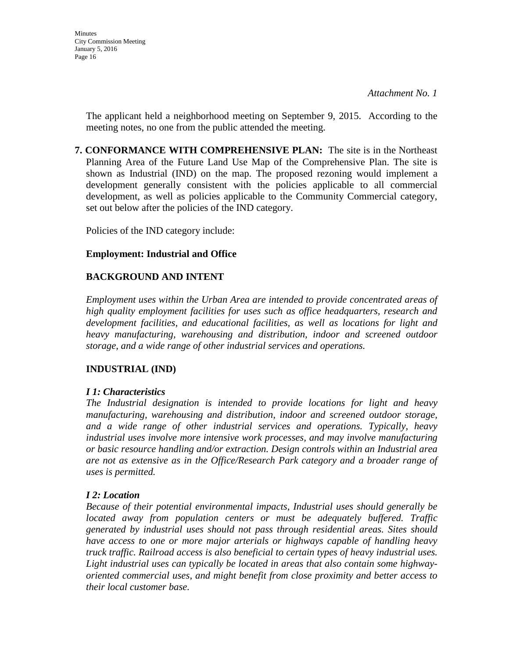The applicant held a neighborhood meeting on September 9, 2015. According to the meeting notes, no one from the public attended the meeting.

**7. CONFORMANCE WITH COMPREHENSIVE PLAN:** The site is in the Northeast Planning Area of the Future Land Use Map of the Comprehensive Plan. The site is shown as Industrial (IND) on the map. The proposed rezoning would implement a development generally consistent with the policies applicable to all commercial development, as well as policies applicable to the Community Commercial category, set out below after the policies of the IND category.

Policies of the IND category include:

#### **Employment: Industrial and Office**

# **BACKGROUND AND INTENT**

*Employment uses within the Urban Area are intended to provide concentrated areas of high quality employment facilities for uses such as office headquarters, research and development facilities, and educational facilities, as well as locations for light and heavy manufacturing, warehousing and distribution, indoor and screened outdoor storage, and a wide range of other industrial services and operations.* 

#### **INDUSTRIAL (IND)**

#### *I 1: Characteristics*

*The Industrial designation is intended to provide locations for light and heavy manufacturing, warehousing and distribution, indoor and screened outdoor storage, and a wide range of other industrial services and operations. Typically, heavy industrial uses involve more intensive work processes, and may involve manufacturing or basic resource handling and/or extraction. Design controls within an Industrial area are not as extensive as in the Office/Research Park category and a broader range of uses is permitted.* 

#### *I 2: Location*

*Because of their potential environmental impacts, Industrial uses should generally be located away from population centers or must be adequately buffered. Traffic generated by industrial uses should not pass through residential areas. Sites should have access to one or more major arterials or highways capable of handling heavy truck traffic. Railroad access is also beneficial to certain types of heavy industrial uses. Light industrial uses can typically be located in areas that also contain some highwayoriented commercial uses, and might benefit from close proximity and better access to their local customer base.*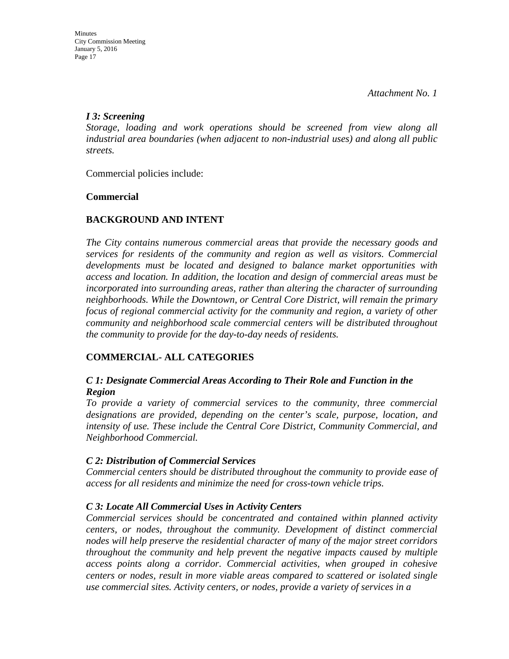#### *I 3: Screening*

*Storage, loading and work operations should be screened from view along all industrial area boundaries (when adjacent to non-industrial uses) and along all public streets.*

Commercial policies include:

# **Commercial**

# **BACKGROUND AND INTENT**

*The City contains numerous commercial areas that provide the necessary goods and services for residents of the community and region as well as visitors. Commercial developments must be located and designed to balance market opportunities with access and location. In addition, the location and design of commercial areas must be incorporated into surrounding areas, rather than altering the character of surrounding neighborhoods. While the Downtown, or Central Core District, will remain the primary focus of regional commercial activity for the community and region, a variety of other community and neighborhood scale commercial centers will be distributed throughout the community to provide for the day-to-day needs of residents.* 

# **COMMERCIAL- ALL CATEGORIES**

## *C 1: Designate Commercial Areas According to Their Role and Function in the Region*

*To provide a variety of commercial services to the community, three commercial designations are provided, depending on the center's scale, purpose, location, and intensity of use. These include the Central Core District, Community Commercial, and Neighborhood Commercial.* 

#### *C 2: Distribution of Commercial Services*

*Commercial centers should be distributed throughout the community to provide ease of access for all residents and minimize the need for cross-town vehicle trips.* 

# *C 3: Locate All Commercial Uses in Activity Centers*

*Commercial services should be concentrated and contained within planned activity centers, or nodes, throughout the community. Development of distinct commercial nodes will help preserve the residential character of many of the major street corridors throughout the community and help prevent the negative impacts caused by multiple access points along a corridor. Commercial activities, when grouped in cohesive centers or nodes, result in more viable areas compared to scattered or isolated single use commercial sites. Activity centers, or nodes, provide a variety of services in a*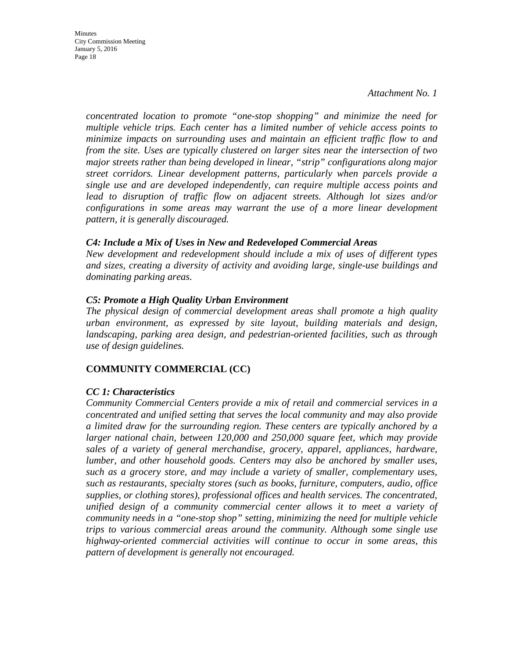**Minutes** City Commission Meeting January 5, 2016 Page 18

> *concentrated location to promote "one-stop shopping" and minimize the need for multiple vehicle trips. Each center has a limited number of vehicle access points to minimize impacts on surrounding uses and maintain an efficient traffic flow to and from the site. Uses are typically clustered on larger sites near the intersection of two major streets rather than being developed in linear, "strip" configurations along major street corridors. Linear development patterns, particularly when parcels provide a single use and are developed independently, can require multiple access points and lead to disruption of traffic flow on adjacent streets. Although lot sizes and/or configurations in some areas may warrant the use of a more linear development pattern, it is generally discouraged.*

#### *C4: Include a Mix of Uses in New and Redeveloped Commercial Areas*

*New development and redevelopment should include a mix of uses of different types and sizes, creating a diversity of activity and avoiding large, single-use buildings and dominating parking areas.* 

#### *C5: Promote a High Quality Urban Environment*

*The physical design of commercial development areas shall promote a high quality urban environment, as expressed by site layout, building materials and design, landscaping, parking area design, and pedestrian-oriented facilities, such as through use of design guidelines.* 

#### **COMMUNITY COMMERCIAL (CC)**

#### *CC 1: Characteristics*

*Community Commercial Centers provide a mix of retail and commercial services in a concentrated and unified setting that serves the local community and may also provide a limited draw for the surrounding region. These centers are typically anchored by a larger national chain, between 120,000 and 250,000 square feet, which may provide sales of a variety of general merchandise, grocery, apparel, appliances, hardware, lumber, and other household goods. Centers may also be anchored by smaller uses, such as a grocery store, and may include a variety of smaller, complementary uses, such as restaurants, specialty stores (such as books, furniture, computers, audio, office supplies, or clothing stores), professional offices and health services. The concentrated, unified design of a community commercial center allows it to meet a variety of community needs in a "one-stop shop" setting, minimizing the need for multiple vehicle trips to various commercial areas around the community. Although some single use highway-oriented commercial activities will continue to occur in some areas, this pattern of development is generally not encouraged.*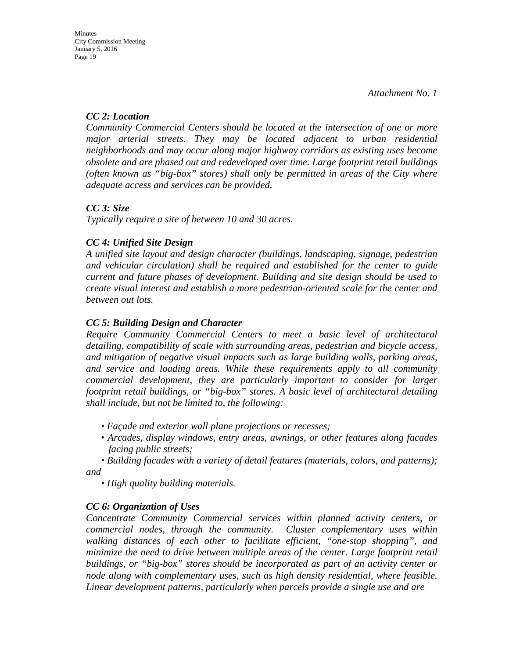## *CC 2: Location*

*Community Commercial Centers should be located at the intersection of one or more major arterial streets. They may be located adjacent to urban residential neighborhoods and may occur along major highway corridors as existing uses become obsolete and are phased out and redeveloped over time. Large footprint retail buildings (often known as "big-box" stores) shall only be permitted in areas of the City where adequate access and services can be provided.* 

## *CC 3: Size*

*Typically require a site of between 10 and 30 acres.* 

## *CC 4: Unified Site Design*

*A unified site layout and design character (buildings, landscaping, signage, pedestrian and vehicular circulation) shall be required and established for the center to guide current and future phases of development. Building and site design should be used to create visual interest and establish a more pedestrian-oriented scale for the center and between out lots.* 

## *CC 5: Building Design and Character*

*Require Community Commercial Centers to meet a basic level of architectural detailing, compatibility of scale with surrounding areas, pedestrian and bicycle access, and mitigation of negative visual impacts such as large building walls, parking areas, and service and loading areas. While these requirements apply to all community commercial development, they are particularly important to consider for larger footprint retail buildings, or "big-box" stores. A basic level of architectural detailing shall include, but not be limited to, the following:* 

- *Façade and exterior wall plane projections or recesses;*
- *Arcades, display windows, entry areas, awnings, or other features along facades facing public streets;*

*• Building facades with a variety of detail features (materials, colors, and patterns); and* 

*• High quality building materials.* 

# *CC 6: Organization of Uses*

*Concentrate Community Commercial services within planned activity centers, or commercial nodes, through the community. Cluster complementary uses within walking distances of each other to facilitate efficient, "one-stop shopping", and minimize the need to drive between multiple areas of the center. Large footprint retail buildings, or "big-box" stores should be incorporated as part of an activity center or node along with complementary uses, such as high density residential, where feasible. Linear development patterns, particularly when parcels provide a single use and are*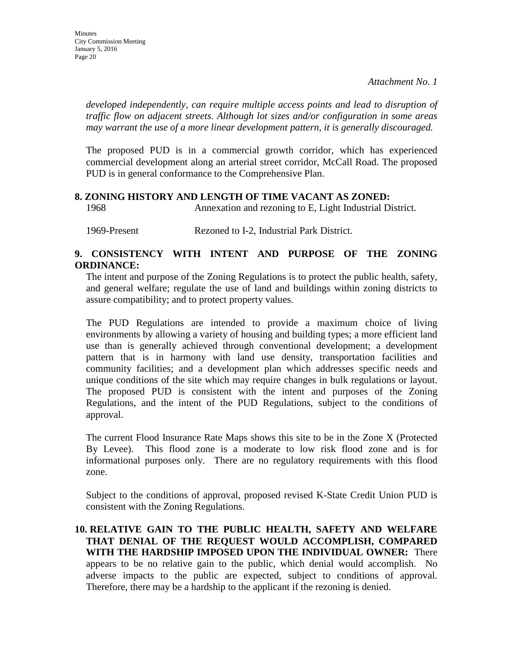*developed independently, can require multiple access points and lead to disruption of traffic flow on adjacent streets. Although lot sizes and/or configuration in some areas may warrant the use of a more linear development pattern, it is generally discouraged.* 

The proposed PUD is in a commercial growth corridor, which has experienced commercial development along an arterial street corridor, McCall Road. The proposed PUD is in general conformance to the Comprehensive Plan.

#### **8. ZONING HISTORY AND LENGTH OF TIME VACANT AS ZONED:**

1968 Annexation and rezoning to E, Light Industrial District.

1969-Present Rezoned to I-2, Industrial Park District.

#### **9. CONSISTENCY WITH INTENT AND PURPOSE OF THE ZONING ORDINANCE:**

The intent and purpose of the Zoning Regulations is to protect the public health, safety, and general welfare; regulate the use of land and buildings within zoning districts to assure compatibility; and to protect property values.

The PUD Regulations are intended to provide a maximum choice of living environments by allowing a variety of housing and building types; a more efficient land use than is generally achieved through conventional development; a development pattern that is in harmony with land use density, transportation facilities and community facilities; and a development plan which addresses specific needs and unique conditions of the site which may require changes in bulk regulations or layout. The proposed PUD is consistent with the intent and purposes of the Zoning Regulations, and the intent of the PUD Regulations, subject to the conditions of approval.

The current Flood Insurance Rate Maps shows this site to be in the Zone X (Protected By Levee). This flood zone is a moderate to low risk flood zone and is for informational purposes only. There are no regulatory requirements with this flood zone.

Subject to the conditions of approval, proposed revised K-State Credit Union PUD is consistent with the Zoning Regulations.

#### **10. RELATIVE GAIN TO THE PUBLIC HEALTH, SAFETY AND WELFARE THAT DENIAL OF THE REQUEST WOULD ACCOMPLISH, COMPARED WITH THE HARDSHIP IMPOSED UPON THE INDIVIDUAL OWNER:** There appears to be no relative gain to the public, which denial would accomplish. No adverse impacts to the public are expected, subject to conditions of approval. Therefore, there may be a hardship to the applicant if the rezoning is denied.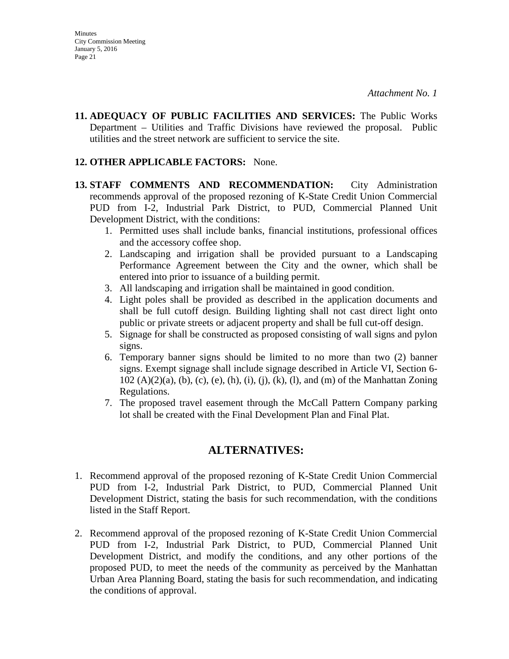**11. ADEQUACY OF PUBLIC FACILITIES AND SERVICES:** The Public Works Department – Utilities and Traffic Divisions have reviewed the proposal. Public utilities and the street network are sufficient to service the site.

#### **12. OTHER APPLICABLE FACTORS:** None.

- **13. STAFF COMMENTS AND RECOMMENDATION:** City Administration recommends approval of the proposed rezoning of K-State Credit Union Commercial PUD from I-2, Industrial Park District, to PUD, Commercial Planned Unit Development District, with the conditions:
	- 1. Permitted uses shall include banks, financial institutions, professional offices and the accessory coffee shop.
	- 2. Landscaping and irrigation shall be provided pursuant to a Landscaping Performance Agreement between the City and the owner, which shall be entered into prior to issuance of a building permit.
	- 3. All landscaping and irrigation shall be maintained in good condition.
	- 4. Light poles shall be provided as described in the application documents and shall be full cutoff design. Building lighting shall not cast direct light onto public or private streets or adjacent property and shall be full cut-off design.
	- 5. Signage for shall be constructed as proposed consisting of wall signs and pylon signs.
	- 6. Temporary banner signs should be limited to no more than two (2) banner signs. Exempt signage shall include signage described in Article VI, Section 6- 102 (A)(2)(a), (b), (c), (e), (h), (i), (j), (k), (l), and (m) of the Manhattan Zoning Regulations.
	- 7. The proposed travel easement through the McCall Pattern Company parking lot shall be created with the Final Development Plan and Final Plat.

# **ALTERNATIVES:**

- 1. Recommend approval of the proposed rezoning of K-State Credit Union Commercial PUD from I-2, Industrial Park District, to PUD, Commercial Planned Unit Development District, stating the basis for such recommendation, with the conditions listed in the Staff Report.
- 2. Recommend approval of the proposed rezoning of K-State Credit Union Commercial PUD from I-2, Industrial Park District, to PUD, Commercial Planned Unit Development District, and modify the conditions, and any other portions of the proposed PUD, to meet the needs of the community as perceived by the Manhattan Urban Area Planning Board, stating the basis for such recommendation, and indicating the conditions of approval.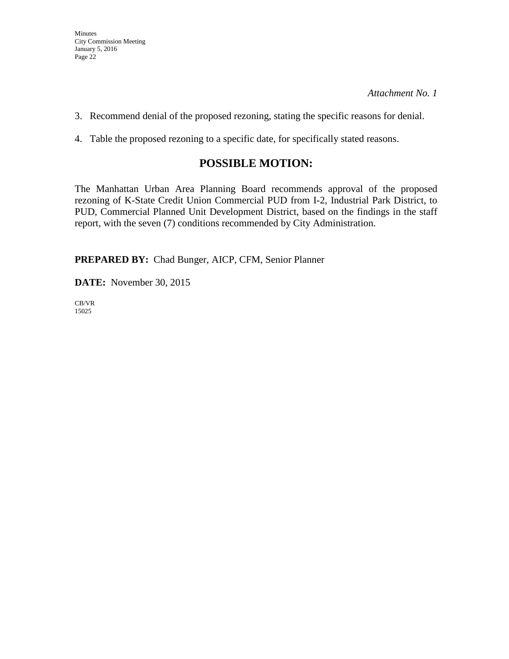- 3. Recommend denial of the proposed rezoning, stating the specific reasons for denial.
- 4. Table the proposed rezoning to a specific date, for specifically stated reasons.

# **POSSIBLE MOTION:**

The Manhattan Urban Area Planning Board recommends approval of the proposed rezoning of K-State Credit Union Commercial PUD from I-2, Industrial Park District, to PUD, Commercial Planned Unit Development District, based on the findings in the staff report, with the seven (7) conditions recommended by City Administration.

**PREPARED BY:** Chad Bunger, AICP, CFM, Senior Planner

**DATE:** November 30, 2015

CB/VR 15025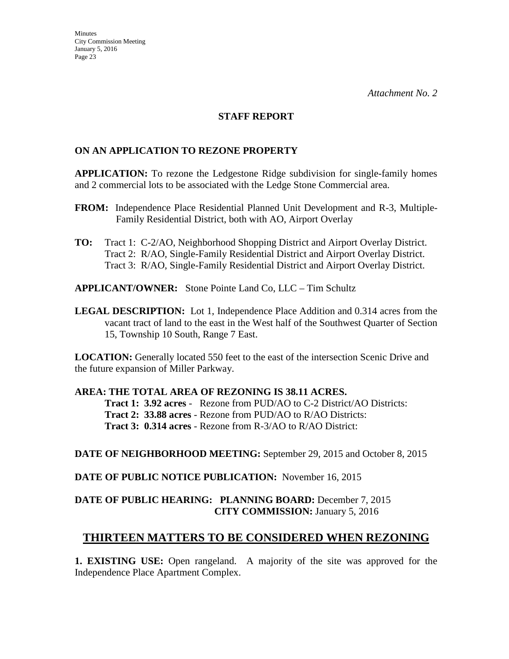#### **STAFF REPORT**

#### **ON AN APPLICATION TO REZONE PROPERTY**

**APPLICATION:** To rezone the Ledgestone Ridge subdivision for single-family homes and 2 commercial lots to be associated with the Ledge Stone Commercial area.

- **FROM:** Independence Place Residential Planned Unit Development and R-3, Multiple-Family Residential District, both with AO, Airport Overlay
- **TO:** Tract 1:C-2/AO, Neighborhood Shopping District and Airport Overlay District. Tract 2: R/AO, Single-Family Residential District and Airport Overlay District. Tract 3: R/AO, Single-Family Residential District and Airport Overlay District.

**APPLICANT/OWNER:** Stone Pointe Land Co, LLC – Tim Schultz

**LEGAL DESCRIPTION:** Lot 1, Independence Place Addition and 0.314 acres from the vacant tract of land to the east in the West half of the Southwest Quarter of Section 15, Township 10 South, Range 7 East.

**LOCATION:** Generally located 550 feet to the east of the intersection Scenic Drive and the future expansion of Miller Parkway.

#### **AREA: THE TOTAL AREA OF REZONING IS 38.11 ACRES.**

**Tract 1: 3.92 acres** - Rezone from PUD/AO to C-2 District/AO Districts: **Tract 2: 33.88 acres** - Rezone from PUD/AO to R/AO Districts: **Tract 3: 0.314 acres** - Rezone from R-3/AO to R/AO District:

**DATE OF NEIGHBORHOOD MEETING:** September 29, 2015 and October 8, 2015

**DATE OF PUBLIC NOTICE PUBLICATION:** November 16, 2015

#### **DATE OF PUBLIC HEARING: PLANNING BOARD:** December 7, 2015 **CITY COMMISSION:** January 5, 2016

# **THIRTEEN MATTERS TO BE CONSIDERED WHEN REZONING**

**1. EXISTING USE:** Open rangeland. A majority of the site was approved for the Independence Place Apartment Complex.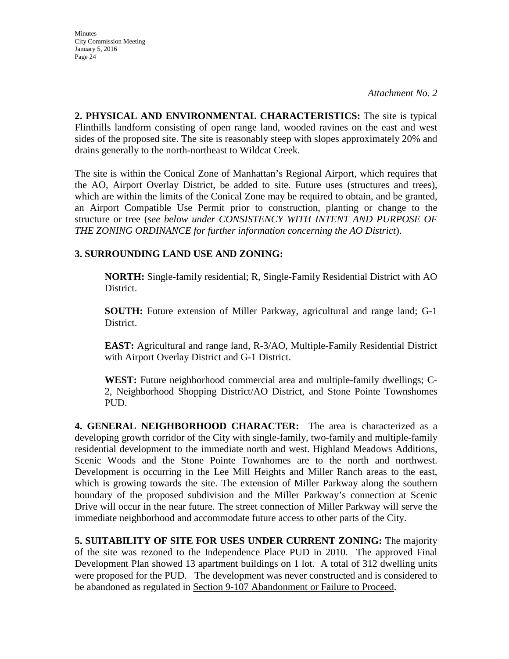**Minutes** City Commission Meeting January 5, 2016 Page 24

*Attachment No. 2*

**2. PHYSICAL AND ENVIRONMENTAL CHARACTERISTICS:** The site is typical Flinthills landform consisting of open range land, wooded ravines on the east and west sides of the proposed site. The site is reasonably steep with slopes approximately 20% and drains generally to the north-northeast to Wildcat Creek.

The site is within the Conical Zone of Manhattan's Regional Airport, which requires that the AO, Airport Overlay District, be added to site. Future uses (structures and trees), which are within the limits of the Conical Zone may be required to obtain, and be granted, an Airport Compatible Use Permit prior to construction, planting or change to the structure or tree (*see below under CONSISTENCY WITH INTENT AND PURPOSE OF THE ZONING ORDINANCE for further information concerning the AO District*).

## **3. SURROUNDING LAND USE AND ZONING:**

**NORTH:** Single-family residential; R, Single-Family Residential District with AO District.

**SOUTH:** Future extension of Miller Parkway, agricultural and range land; G-1 District.

**EAST:** Agricultural and range land, R-3/AO, Multiple-Family Residential District with Airport Overlay District and G-1 District.

**WEST:** Future neighborhood commercial area and multiple-family dwellings; C-2, Neighborhood Shopping District/AO District, and Stone Pointe Townshomes PUD.

**4. GENERAL NEIGHBORHOOD CHARACTER:** The area is characterized as a developing growth corridor of the City with single-family, two-family and multiple-family residential development to the immediate north and west. Highland Meadows Additions, Scenic Woods and the Stone Pointe Townhomes are to the north and northwest. Development is occurring in the Lee Mill Heights and Miller Ranch areas to the east, which is growing towards the site. The extension of Miller Parkway along the southern boundary of the proposed subdivision and the Miller Parkway's connection at Scenic Drive will occur in the near future. The street connection of Miller Parkway will serve the immediate neighborhood and accommodate future access to other parts of the City.

**5. SUITABILITY OF SITE FOR USES UNDER CURRENT ZONING:** The majority of the site was rezoned to the Independence Place PUD in 2010. The approved Final Development Plan showed 13 apartment buildings on 1 lot. A total of 312 dwelling units were proposed for the PUD. The development was never constructed and is considered to be abandoned as regulated in Section 9-107 Abandonment or Failure to Proceed.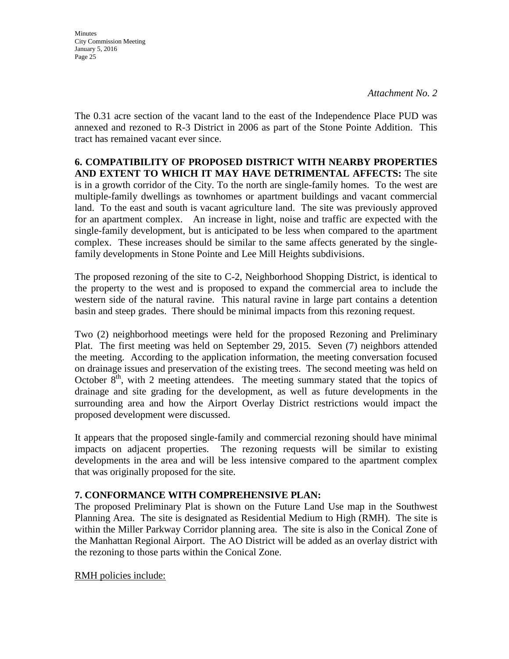**Minutes** City Commission Meeting January 5, 2016 Page 25

*Attachment No. 2*

The 0.31 acre section of the vacant land to the east of the Independence Place PUD was annexed and rezoned to R-3 District in 2006 as part of the Stone Pointe Addition. This tract has remained vacant ever since.

**6. COMPATIBILITY OF PROPOSED DISTRICT WITH NEARBY PROPERTIES AND EXTENT TO WHICH IT MAY HAVE DETRIMENTAL AFFECTS:** The site is in a growth corridor of the City. To the north are single-family homes. To the west are multiple-family dwellings as townhomes or apartment buildings and vacant commercial land. To the east and south is vacant agriculture land. The site was previously approved for an apartment complex. An increase in light, noise and traffic are expected with the single-family development, but is anticipated to be less when compared to the apartment complex. These increases should be similar to the same affects generated by the singlefamily developments in Stone Pointe and Lee Mill Heights subdivisions.

The proposed rezoning of the site to C-2, Neighborhood Shopping District, is identical to the property to the west and is proposed to expand the commercial area to include the western side of the natural ravine. This natural ravine in large part contains a detention basin and steep grades. There should be minimal impacts from this rezoning request.

Two (2) neighborhood meetings were held for the proposed Rezoning and Preliminary Plat. The first meeting was held on September 29, 2015. Seven (7) neighbors attended the meeting. According to the application information, the meeting conversation focused on drainage issues and preservation of the existing trees. The second meeting was held on October  $8<sup>th</sup>$ , with 2 meeting attendees. The meeting summary stated that the topics of drainage and site grading for the development, as well as future developments in the surrounding area and how the Airport Overlay District restrictions would impact the proposed development were discussed.

It appears that the proposed single-family and commercial rezoning should have minimal impacts on adjacent properties. The rezoning requests will be similar to existing developments in the area and will be less intensive compared to the apartment complex that was originally proposed for the site.

#### **7. CONFORMANCE WITH COMPREHENSIVE PLAN:**

The proposed Preliminary Plat is shown on the Future Land Use map in the Southwest Planning Area. The site is designated as Residential Medium to High (RMH). The site is within the Miller Parkway Corridor planning area. The site is also in the Conical Zone of the Manhattan Regional Airport. The AO District will be added as an overlay district with the rezoning to those parts within the Conical Zone.

#### RMH policies include: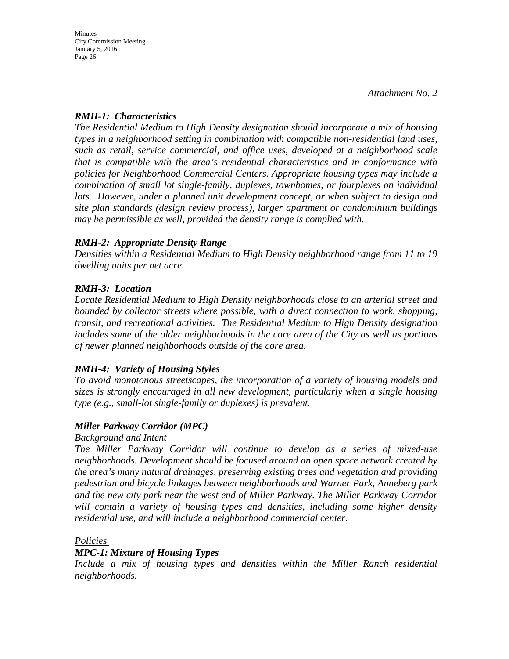## *RMH-1: Characteristics*

*The Residential Medium to High Density designation should incorporate a mix of housing types in a neighborhood setting in combination with compatible non-residential land uses, such as retail, service commercial, and office uses, developed at a neighborhood scale that is compatible with the area's residential characteristics and in conformance with policies for Neighborhood Commercial Centers. Appropriate housing types may include a combination of small lot single-family, duplexes, townhomes, or fourplexes on individual*  lots. However, under a planned unit development concept, or when subject to design and *site plan standards (design review process), larger apartment or condominium buildings may be permissible as well, provided the density range is complied with.* 

## *RMH-2: Appropriate Density Range*

*Densities within a Residential Medium to High Density neighborhood range from 11 to 19 dwelling units per net acre.* 

## *RMH-3: Location*

*Locate Residential Medium to High Density neighborhoods close to an arterial street and bounded by collector streets where possible, with a direct connection to work, shopping, transit, and recreational activities. The Residential Medium to High Density designation includes some of the older neighborhoods in the core area of the City as well as portions of newer planned neighborhoods outside of the core area.* 

# *RMH-4: Variety of Housing Styles*

*To avoid monotonous streetscapes, the incorporation of a variety of housing models and sizes is strongly encouraged in all new development, particularly when a single housing type (e.g., small-lot single-family or duplexes) is prevalent.* 

#### *Miller Parkway Corridor (MPC)*

#### *Background and Intent*

*The Miller Parkway Corridor will continue to develop as a series of mixed-use neighborhoods. Development should be focused around an open space network created by the area's many natural drainages, preserving existing trees and vegetation and providing pedestrian and bicycle linkages between neighborhoods and Warner Park, Anneberg park and the new city park near the west end of Miller Parkway. The Miller Parkway Corridor will contain a variety of housing types and densities, including some higher density residential use, and will include a neighborhood commercial center.* 

#### *Policies*

#### *MPC-1: Mixture of Housing Types*

*Include a mix of housing types and densities within the Miller Ranch residential neighborhoods.*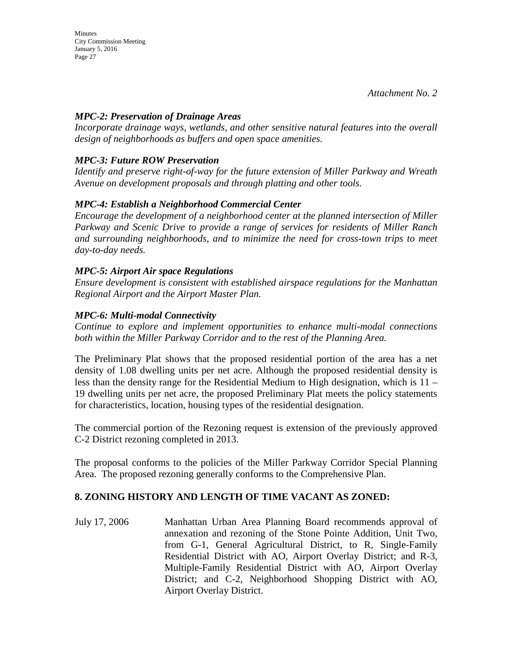**Minutes** City Commission Meeting January 5, 2016 Page 27

#### *MPC-2: Preservation of Drainage Areas*

*Incorporate drainage ways, wetlands, and other sensitive natural features into the overall design of neighborhoods as buffers and open space amenities.* 

# *MPC-3: Future ROW Preservation*

*Identify and preserve right-of-way for the future extension of Miller Parkway and Wreath Avenue on development proposals and through platting and other tools.* 

## *MPC-4: Establish a Neighborhood Commercial Center*

*Encourage the development of a neighborhood center at the planned intersection of Miller Parkway and Scenic Drive to provide a range of services for residents of Miller Ranch and surrounding neighborhoods, and to minimize the need for cross-town trips to meet day-to-day needs.* 

#### *MPC-5: Airport Air space Regulations*

*Ensure development is consistent with established airspace regulations for the Manhattan Regional Airport and the Airport Master Plan.* 

#### *MPC-6: Multi-modal Connectivity*

*Continue to explore and implement opportunities to enhance multi-modal connections both within the Miller Parkway Corridor and to the rest of the Planning Area.* 

The Preliminary Plat shows that the proposed residential portion of the area has a net density of 1.08 dwelling units per net acre. Although the proposed residential density is less than the density range for the Residential Medium to High designation, which is 11 – 19 dwelling units per net acre, the proposed Preliminary Plat meets the policy statements for characteristics, location, housing types of the residential designation.

The commercial portion of the Rezoning request is extension of the previously approved C-2 District rezoning completed in 2013.

The proposal conforms to the policies of the Miller Parkway Corridor Special Planning Area. The proposed rezoning generally conforms to the Comprehensive Plan.

#### **8. ZONING HISTORY AND LENGTH OF TIME VACANT AS ZONED:**

July 17, 2006 Manhattan Urban Area Planning Board recommends approval of annexation and rezoning of the Stone Pointe Addition, Unit Two, from G-1, General Agricultural District, to R, Single-Family Residential District with AO, Airport Overlay District; and R-3, Multiple-Family Residential District with AO, Airport Overlay District; and C-2, Neighborhood Shopping District with AO, Airport Overlay District.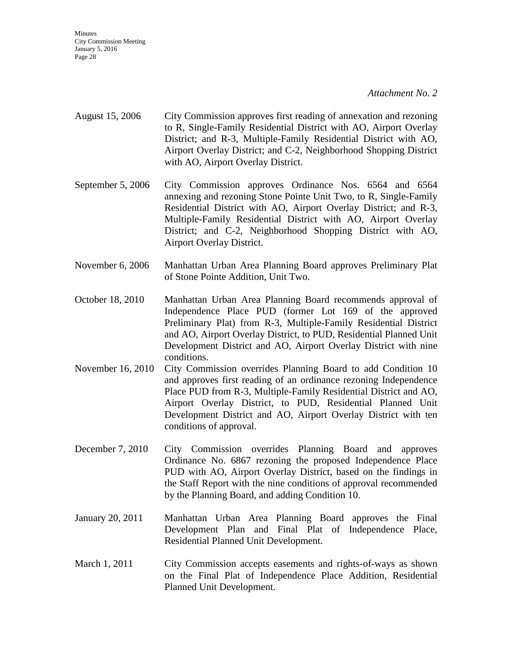City Commission Meeting January 5, 2016 Page 28

**Minutes** 

*Attachment No. 2*

- August 15, 2006 City Commission approves first reading of annexation and rezoning to R, Single-Family Residential District with AO, Airport Overlay District; and R-3, Multiple-Family Residential District with AO, Airport Overlay District; and C-2, Neighborhood Shopping District with AO, Airport Overlay District.
- September 5, 2006 City Commission approves Ordinance Nos. 6564 and 6564 annexing and rezoning Stone Pointe Unit Two, to R, Single-Family Residential District with AO, Airport Overlay District; and R-3, Multiple-Family Residential District with AO, Airport Overlay District; and C-2, Neighborhood Shopping District with AO, Airport Overlay District.
- November 6, 2006 Manhattan Urban Area Planning Board approves Preliminary Plat of Stone Pointe Addition, Unit Two.
- October 18, 2010 Manhattan Urban Area Planning Board recommends approval of Independence Place PUD (former Lot 169 of the approved Preliminary Plat) from R-3, Multiple-Family Residential District and AO, Airport Overlay District, to PUD, Residential Planned Unit Development District and AO, Airport Overlay District with nine conditions.
- November 16, 2010 City Commission overrides Planning Board to add Condition 10 and approves first reading of an ordinance rezoning Independence Place PUD from R-3, Multiple-Family Residential District and AO, Airport Overlay District, to PUD, Residential Planned Unit Development District and AO, Airport Overlay District with ten conditions of approval.
- December 7, 2010 City Commission overrides Planning Board and approves Ordinance No. 6867 rezoning the proposed Independence Place PUD with AO, Airport Overlay District, based on the findings in the Staff Report with the nine conditions of approval recommended by the Planning Board, and adding Condition 10.
- January 20, 2011 Manhattan Urban Area Planning Board approves the Final Development Plan and Final Plat of Independence Place, Residential Planned Unit Development.
- March 1, 2011 City Commission accepts easements and rights-of-ways as shown on the Final Plat of Independence Place Addition, Residential Planned Unit Development.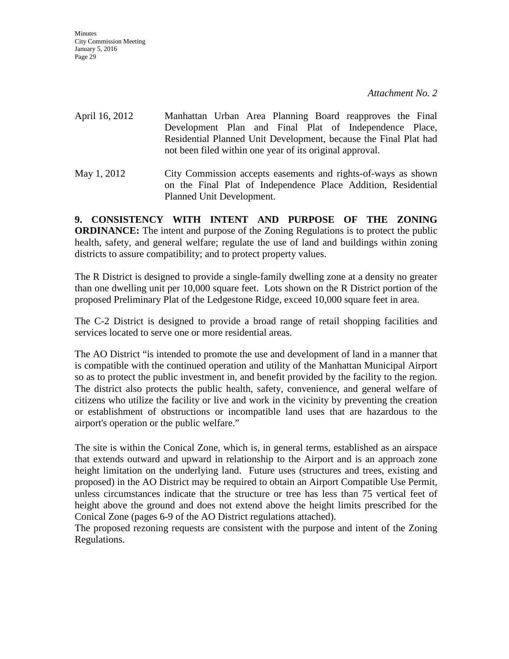| April 16, 2012 | Manhattan Urban Area Planning Board reapproves the Final<br>Development Plan and Final Plat of Independence Place,<br>Residential Planned Unit Development, because the Final Plat had<br>not been filed within one year of its original approval. |
|----------------|----------------------------------------------------------------------------------------------------------------------------------------------------------------------------------------------------------------------------------------------------|
| May 1, 2012    | City Commission accepts easements and rights-of-ways as shown<br>on the Final Plat of Independence Place Addition, Residential                                                                                                                     |

**9. CONSISTENCY WITH INTENT AND PURPOSE OF THE ZONING ORDINANCE:** The intent and purpose of the Zoning Regulations is to protect the public health, safety, and general welfare; regulate the use of land and buildings within zoning districts to assure compatibility; and to protect property values.

Planned Unit Development.

The R District is designed to provide a single-family dwelling zone at a density no greater than one dwelling unit per 10,000 square feet. Lots shown on the R District portion of the proposed Preliminary Plat of the Ledgestone Ridge, exceed 10,000 square feet in area.

The C-2 District is designed to provide a broad range of retail shopping facilities and services located to serve one or more residential areas.

The AO District "is intended to promote the use and development of land in a manner that is compatible with the continued operation and utility of the Manhattan Municipal Airport so as to protect the public investment in, and benefit provided by the facility to the region. The district also protects the public health, safety, convenience, and general welfare of citizens who utilize the facility or live and work in the vicinity by preventing the creation or establishment of obstructions or incompatible land uses that are hazardous to the airport's operation or the public welfare."

The site is within the Conical Zone, which is, in general terms, established as an airspace that extends outward and upward in relationship to the Airport and is an approach zone height limitation on the underlying land. Future uses (structures and trees, existing and proposed) in the AO District may be required to obtain an Airport Compatible Use Permit, unless circumstances indicate that the structure or tree has less than 75 vertical feet of height above the ground and does not extend above the height limits prescribed for the Conical Zone (pages 6-9 of the AO District regulations attached).

The proposed rezoning requests are consistent with the purpose and intent of the Zoning Regulations.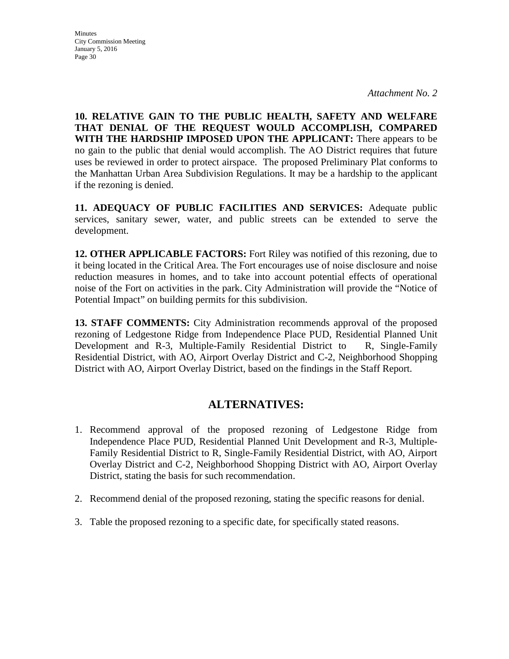**Minutes** 

City Commission Meeting January 5, 2016 Page 30

**10. RELATIVE GAIN TO THE PUBLIC HEALTH, SAFETY AND WELFARE THAT DENIAL OF THE REQUEST WOULD ACCOMPLISH, COMPARED WITH THE HARDSHIP IMPOSED UPON THE APPLICANT:** There appears to be no gain to the public that denial would accomplish. The AO District requires that future uses be reviewed in order to protect airspace. The proposed Preliminary Plat conforms to the Manhattan Urban Area Subdivision Regulations. It may be a hardship to the applicant if the rezoning is denied.

**11. ADEQUACY OF PUBLIC FACILITIES AND SERVICES:** Adequate public services, sanitary sewer, water, and public streets can be extended to serve the development.

**12. OTHER APPLICABLE FACTORS:** Fort Riley was notified of this rezoning, due to it being located in the Critical Area. The Fort encourages use of noise disclosure and noise reduction measures in homes, and to take into account potential effects of operational noise of the Fort on activities in the park. City Administration will provide the "Notice of Potential Impact" on building permits for this subdivision.

**13. STAFF COMMENTS:** City Administration recommends approval of the proposed rezoning of Ledgestone Ridge from Independence Place PUD, Residential Planned Unit Development and R-3, Multiple-Family Residential District to R, Single-Family Residential District, with AO, Airport Overlay District and C-2, Neighborhood Shopping District with AO, Airport Overlay District, based on the findings in the Staff Report.

# **ALTERNATIVES:**

- 1. Recommend approval of the proposed rezoning of Ledgestone Ridge from Independence Place PUD, Residential Planned Unit Development and R-3, Multiple-Family Residential District to R, Single-Family Residential District, with AO, Airport Overlay District and C-2, Neighborhood Shopping District with AO, Airport Overlay District, stating the basis for such recommendation.
- 2. Recommend denial of the proposed rezoning, stating the specific reasons for denial.
- 3. Table the proposed rezoning to a specific date, for specifically stated reasons.